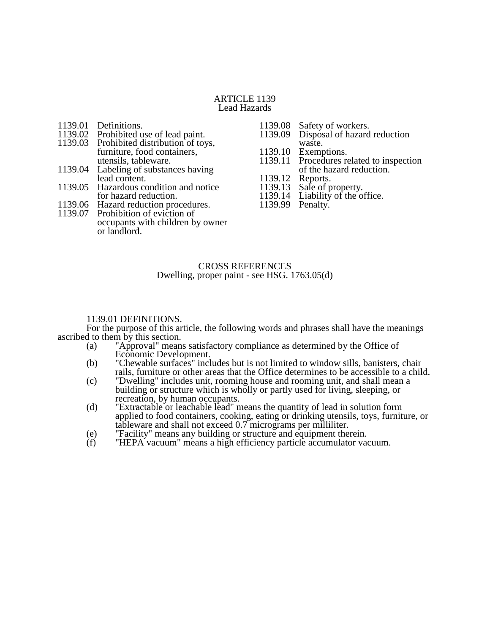## ARTICLE 1139 Lead Hazards

- 1139.01 Definitions.<br>1139.02 Prohibited u
- 1139.02 Prohibited use of lead paint.<br>1139.03 Prohibited distribution of toy
- Prohibited distribution of toys, furniture, food containers, utensils, tableware.
- 1139.04 Labeling of substances having lead content.
- 1139.05 Hazardous condition and notice for hazard reduction.
- 1139.06 Hazard reduction procedures.
- 1139.07 Prohibition of eviction of occupants with children by owner or landlord.
- 1139.08 Safety of workers.<br>1139.09 Disposal of hazard
- Disposal of hazard reduction waste.
- 
- 1139.10 Exemptions.<br>1139.11 Procedures re Procedures related to inspection
- of the hazard reduction.
- 1139.12<br>1139.13
- Sale of property. 1139.14 Liability of the office.
- 
- 1139.99 Penalty.

## CROSS REFERENCES Dwelling, proper paint - see HSG. 1763.05(d)

# 1139.01 DEFINITIONS.

For the purpose of this article, the following words and phrases shall have the meanings ascribed to them by this section.

- (a) "Approval" means satisfactory compliance as determined by the Office of Economic Development.
- (b) "Chewable surfaces" includes but is not limited to window sills, banisters, chair rails, furniture or other areas that the Office determines to be accessible to a child.
- (c) "Dwelling" includes unit, rooming house and rooming unit, and shall mean a building or structure which is wholly or partly used for living, sleeping, or recreation, by human occupants.
- (d) "Extractable or leachable lead" means the quantity of lead in solution form applied to food containers, cooking, eating or drinking utensils, toys, furniture, or tableware and shall not exceed 0.7 micrograms per milliliter.
- (e) "Facility" means any building or structure and equipment therein.<br>(f) "HEPA vacuum" means a high efficiency particle accumulator va
- "HEPA vacuum" means a high efficiency particle accumulator vacuum.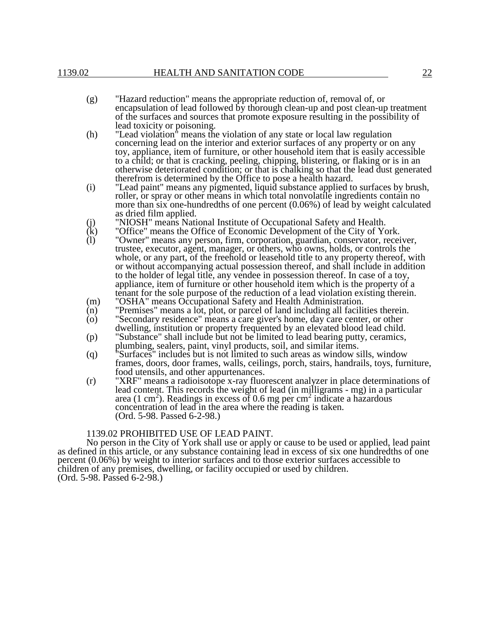- (g) "Hazard reduction" means the appropriate reduction of, removal of, or encapsulation of lead followed by thorough clean-up and post clean-up treatment of the surfaces and sources that promote exposure resulting in the possibility of lead toxicity or poisoning.
- (h) "Lead violation" means the violation of any state or local law regulation concerning lead on the interior and exterior surfaces of any property or on any toy, appliance, item of furniture, or other household item that is easily accessible to a child; or that is cracking, peeling, chipping, blistering, or flaking or is in an otherwise deteriorated condition; or that is chalking so that the lead dust generated therefrom is determined by the Office to pose a health hazard.
- (i) "Lead paint" means any pigmented, liquid substance applied to surfaces by brush, roller, or spray or other means in which total nonvolatile ingredients contain no more than six one-hundredths of one percent (0.06%) of lead by weight calculated as dried film applied.
- (j) "NIOSH" means National Institute of Occupational Safety and Health.<br>
(k) "Office" means the Office of Economic Development of the City of You
- $(k)$  "Office" means the Office of Economic Development of the City of York.<br>(1) "Owner" means any person, firm, corporation, guardian, conservator, recei
- (l) "Owner" means any person, firm, corporation, guardian, conservator, receiver, trustee, executor, agent, manager, or others, who owns, holds, or controls the whole, or any part, of the freehold or leasehold title to any property thereof, with or without accompanying actual possession thereof, and shall include in addition to the holder of legal title, any vendee in possession thereof. In case of a toy, appliance, item of furniture or other household item which is the property of a tenant for the sole purpose of the reduction of a lead violation existing therein.
- (m) "OSHA" means Occupational Safety and Health Administration.
- (n) "Premises" means a lot, plot, or parcel of land including all facilities therein.
- (o) "Secondary residence" means a care giver's home, day care center, or other dwelling, institution or property frequented by an elevated blood lead child.
- (p) "Substance" shall include but not be limited to lead bearing putty, ceramics, plumbing, sealers, paint, vinyl products, soil, and similar items.
- (q) "Surfaces" includes but is not limited to such areas as window sills, window frames, doors, door frames, walls, ceilings, porch, stairs, handrails, toys, furniture, food utensils, and other appurtenances.
- (r) "XRF" means a radioisotope x-ray fluorescent analyzer in place determinations of lead content. This records the weight of lead (in milligrams - mg) in a particular area (1 cm<sup>2</sup>). Readings in excess of 0.6 mg per cm<sup>2</sup> indicate a hazardous concentration of lead in the area where the reading is taken. (Ord. 5-98. Passed 6-2-98.)

#### 1139.02 PROHIBITED USE OF LEAD PAINT.

No person in the City of York shall use or apply or cause to be used or applied, lead paint as defined in this article, or any substance containing lead in excess of six one hundredths of one percent (0.06%) by weight to interior surfaces and to those exterior surfaces accessible to children of any premises, dwelling, or facility occupied or used by children. (Ord. 5-98. Passed 6-2-98.)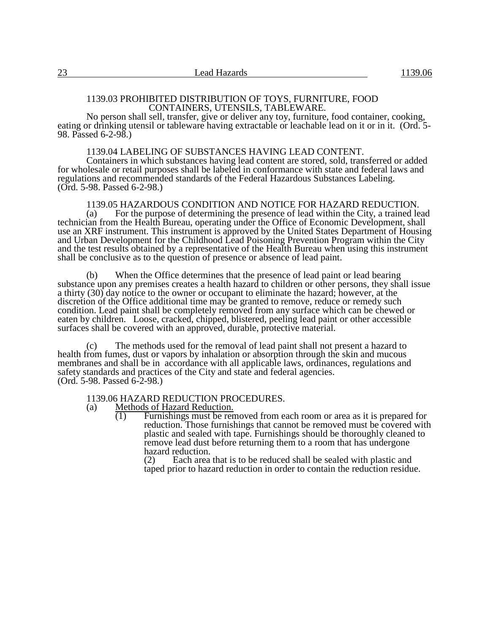## 1139.03 PROHIBITED DISTRIBUTION OF TOYS, FURNITURE, FOOD CONTAINERS, UTENSILS, TABLEWARE.

No person shall sell, transfer, give or deliver any toy, furniture, food container, cooking, eating or drinking utensil or tableware having extractable or leachable lead on it or in it. (Ord. 5-98. Passed 6-2-98.)

#### 1139.04 LABELING OF SUBSTANCES HAVING LEAD CONTENT.

Containers in which substances having lead content are stored, sold, transferred or added for wholesale or retail purposes shall be labeled in conformance with state and federal laws and regulations and recommended standards of the Federal Hazardous Substances Labeling. (Ord. 5-98. Passed 6-2-98.)

1139.05 HAZARDOUS CONDITION AND NOTICE FOR HAZARD REDUCTION.<br>(a) For the purpose of determining the presence of lead within the City, a trained le For the purpose of determining the presence of lead within the City, a trained lead technician from the Health Bureau, operating under the Office of Economic Development, shall use an XRF instrument. This instrument is approved by the United States Department of Housing and Urban Development for the Childhood Lead Poisoning Prevention Program within the City and the test results obtained by a representative of the Health Bureau when using this instrument shall be conclusive as to the question of presence or absence of lead paint.

(b) When the Office determines that the presence of lead paint or lead bearing substance upon any premises creates a health hazard to children or other persons, they shall issue a thirty (30) day notice to the owner or occupant to eliminate the hazard; however, at the discretion of the Office additional time may be granted to remove, reduce or remedy such condition. Lead paint shall be completely removed from any surface which can be chewed or eaten by children. Loose, cracked, chipped, blistered, peeling lead paint or other accessible surfaces shall be covered with an approved, durable, protective material.

(c) The methods used for the removal of lead paint shall not present a hazard to health from fumes, dust or vapors by inhalation or absorption through the skin and mucous membranes and shall be in accordance with all applicable laws, ordinances, regulations and safety standards and practices of the City and state and federal agencies. (Ord. 5-98. Passed 6-2-98.)

# 1139.06 HAZARD REDUCTION PROCEDURES.<br>(a) Methods of Hazard Reduction.

- Methods of Hazard Reduction.
	- (1) Furnishings must be removed from each room or area as it is prepared for reduction. Those furnishings that cannot be removed must be covered with plastic and sealed with tape. Furnishings should be thoroughly cleaned to remove lead dust before returning them to a room that has undergone hazard reduction.<br>(2) Each area

Each area that is to be reduced shall be sealed with plastic and taped prior to hazard reduction in order to contain the reduction residue.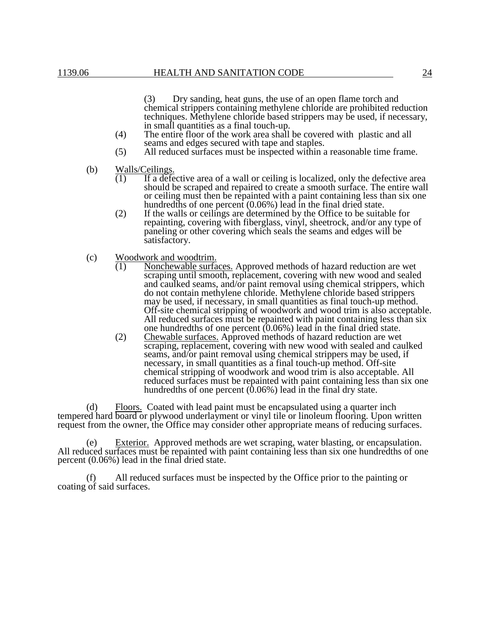(3) Dry sanding, heat guns, the use of an open flame torch and chemical strippers containing methylene chloride are prohibited reduction techniques. Methylene chloride based strippers may be used, if necessary, in small quantities as a final touch-up.

- (4) The entire floor of the work area shall be covered with plastic and all seams and edges secured with tape and staples.
- (5) All reduced surfaces must be inspected within a reasonable time frame.
- (b) Walls/Ceilings.
	- (1) If a defective area of a wall or ceiling is localized, only the defective area should be scraped and repaired to create a smooth surface. The entire wall or ceiling must then be repainted with a paint containing less than six one hundredths of one percent (0.06%) lead in the final dried state.
	- (2) If the walls or ceilings are determined by the Office to be suitable for repainting, covering with fiberglass, vinyl, sheetrock, and/or any type of paneling or other covering which seals the seams and edges will be satisfactory.
- (c) Woodwork and woodtrim.<br> $\frac{(1)}{(1)}$  Nonchewable surfa
	- (1) Nonchewable surfaces. Approved methods of hazard reduction are wet scraping until smooth, replacement, covering with new wood and sealed and caulked seams, and/or paint removal using chemical strippers, which do not contain methylene chloride. Methylene chloride based strippers may be used, if necessary, in small quantities as final touch-up method. Off-site chemical stripping of woodwork and wood trim is also acceptable. All reduced surfaces must be repainted with paint containing less than six one hundredths of one percent (0.06%) lead in the final dried state.
	- (2) Chewable surfaces. Approved methods of hazard reduction are wet scraping, replacement, covering with new wood with sealed and caulked seams, and/or paint removal using chemical strippers may be used, if necessary, in small quantities as a final touch-up method. Off-site chemical stripping of woodwork and wood trim is also acceptable. All reduced surfaces must be repainted with paint containing less than six one hundredths of one percent  $(0.06\%)$  lead in the final dry state.

(d) Floors. Coated with lead paint must be encapsulated using a quarter inch tempered hard board or plywood underlayment or vinyl tile or linoleum flooring. Upon written request from the owner, the Office may consider other appropriate means of reducing surfaces.

(e) Exterior. Approved methods are wet scraping, water blasting, or encapsulation. All reduced surfaces must be repainted with paint containing less than six one hundredths of one percent (0.06%) lead in the final dried state.

(f) All reduced surfaces must be inspected by the Office prior to the painting or coating of said surfaces.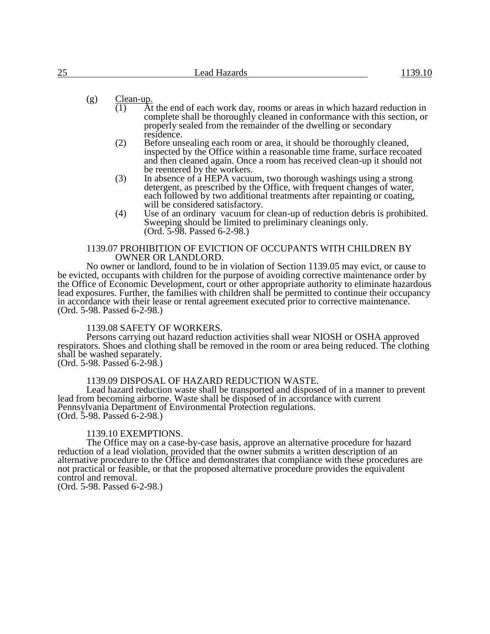(g)  $\frac{\text{Clean-up.}}{(1) \text{At}}$ 

- At the end of each work day, rooms or areas in which hazard reduction in complete shall be thoroughly cleaned in conformance with this section, or properly sealed from the remainder of the dwelling or secondary residence.
- (2) Before unsealing each room or area, it should be thoroughly cleaned, inspected by the Office within a reasonable time frame, surface recoated and then cleaned again. Once a room has received clean-up it should not be reentered by the workers.
- (3) In absence of a HEPA vacuum, two thorough washings using a strong detergent, as prescribed by the Office, with frequent changes of water, each followed by two additional treatments after repainting or coating, will be considered satisfactory.
- (4) Use of an ordinary vacuum for clean-up of reduction debris is prohibited. Sweeping should be limited to preliminary cleanings only. (Ord. 5-98. Passed 6-2-98.)

#### 1139.07 PROHIBITION OF EVICTION OF OCCUPANTS WITH CHILDREN BY OWNER OR LANDLORD.

No owner or landlord, found to be in violation of Section 1139.05 may evict, or cause to be evicted, occupants with children for the purpose of avoiding corrective maintenance order by the Office of Economic Development, court or other appropriate authority to eliminate hazardous lead exposures. Further, the families with children shall be permitted to continue their occupancy in accordance with their lease or rental agreement executed prior to corrective maintenance. (Ord. 5-98. Passed 6-2-98.)

## 1139.08 SAFETY OF WORKERS.

Persons carrying out hazard reduction activities shall wear NIOSH or OSHA approved respirators. Shoes and clothing shall be removed in the room or area being reduced. The clothing shall be washed separately. (Ord. 5-98. Passed 6-2-98.)

## 1139.09 DISPOSAL OF HAZARD REDUCTION WASTE.

Lead hazard reduction waste shall be transported and disposed of in a manner to prevent lead from becoming airborne. Waste shall be disposed of in accordance with current Pennsylvania Department of Environmental Protection regulations. (Ord. 5-98. Passed 6-2-98.)

## 1139.10 EXEMPTIONS.

The Office may on a case-by-case basis, approve an alternative procedure for hazard reduction of a lead violation, provided that the owner submits a written description of an alternative procedure to the Office and demonstrates that compliance with these procedures are not practical or feasible, or that the proposed alternative procedure provides the equivalent control and removal.

(Ord. 5-98. Passed 6-2-98.)